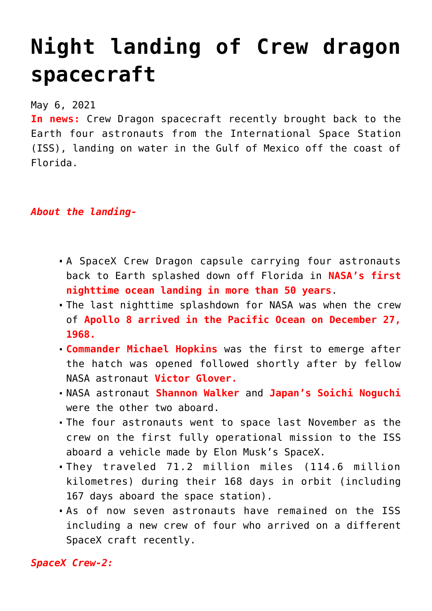## **[Night landing of Crew dragon](https://journalsofindia.com/night-landing-of-crew-dragon-spacecraft/) [spacecraft](https://journalsofindia.com/night-landing-of-crew-dragon-spacecraft/)**

May 6, 2021

**In news:** Crew Dragon spacecraft recently brought back to the Earth four astronauts from the International Space Station (ISS), landing on water in the Gulf of Mexico off the coast of Florida.

*About the landing-*

- A SpaceX Crew Dragon capsule carrying four astronauts back to Earth splashed down off Florida in **NASA's first nighttime ocean landing in more than 50 years**.
- The last nighttime splashdown for NASA was when the crew of **Apollo 8 arrived in the Pacific Ocean on December 27, 1968.**
- **Commander Michael Hopkins** was the first to emerge after the hatch was opened followed shortly after by fellow NASA astronaut **Victor Glover.**
- NASA astronaut **Shannon Walker** and **Japan's Soichi Noguchi** were the other two aboard.
- The four astronauts went to space last November as the crew on the first fully operational mission to the ISS aboard a vehicle made by Elon Musk's SpaceX.
- They traveled 71.2 million miles (114.6 million kilometres) during their 168 days in orbit (including 167 days aboard the space station).
- As of now seven astronauts have remained on the ISS including a new crew of four who arrived on a different SpaceX craft recently.

*SpaceX Crew-2:*